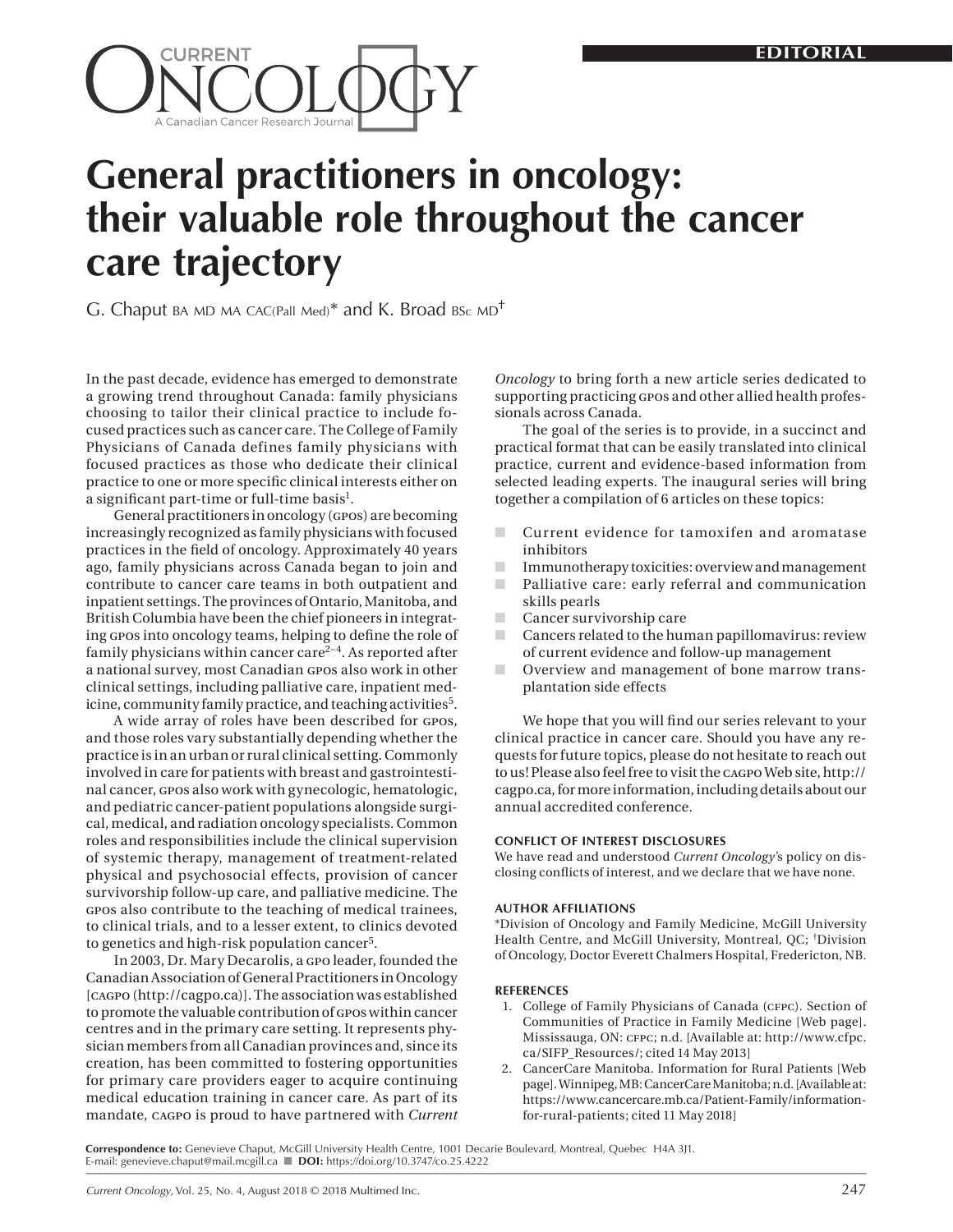

## **General practitioners in oncology: their valuable role throughout the cancer care trajectory**

G. Chaput ba MD MA CAC(Pall Med)\* and K. Broad Bsc MD<sup>+</sup>

In the past decade, evidence has emerged to demonstrate a growing trend throughout Canada: family physicians choosing to tailor their clinical practice to include focused practices such as cancer care. The College of Family Physicians of Canada defines family physicians with focused practices as those who dedicate their clinical practice to one or more specifc clinical interests either on a significant part-time or full-time basis<sup>1</sup>.

General practitioners in oncology (gpos) are becoming increasingly recognized as family physicians with focused practices in the feld of oncology. Approximately 40 years ago, family physicians across Canada began to join and contribute to cancer care teams in both outpatient and inpatient settings. The provinces of Ontario, Manitoba, and British Columbia have been the chief pioneers in integrating gpos into oncology teams, helping to define the role of family physicians within cancer care<sup> $2-4$ </sup>. As reported after a national survey, most Canadian gpos also work in other clinical settings, including palliative care, inpatient medicine, community family practice, and teaching activities<sup>5</sup>.

A wide array of roles have been described for gpos, and those roles vary substantially depending whether the practice is in an urban or rural clinical setting. Commonly involved in care for patients with breast and gastrointestinal cancer, gpos also work with gynecologic, hematologic, and pediatric cancer-patient populations alongside surgical, medical, and radiation oncology specialists. Common roles and responsibilities include the clinical supervision of systemic therapy, management of treatment-related physical and psychosocial effects, provision of cancer survivorship follow-up care, and palliative medicine. The gpos also contribute to the teaching of medical trainees, to clinical trials, and to a lesser extent, to clinics devoted to genetics and high-risk population cancer5.

In 2003, Dr. Mary Decarolis, a gpo leader, founded the Canadian Association of General Practitioners in Oncology [cagpo (<http://cagpo.ca>)]. The association was established to promote the valuable contribution of gpos within cancer centres and in the primary care setting. It represents physician members from all Canadian provinces and, since its creation, has been committed to fostering opportunities for primary care providers eager to acquire continuing medical education training in cancer care. As part of its mandate, cagpo is proud to have partnered with *Current* 

*Oncology* to bring forth a new article series dedicated to supporting practicing gpos and other allied health professionals across Canada.

The goal of the series is to provide, in a succinct and practical format that can be easily translated into clinical practice, current and evidence-based information from selected leading experts. The inaugural series will bring together a compilation of 6 articles on these topics:

- Current evidence for tamoxifen and aromatase inhibitors
- Immunotherapy toxicities: overview and management
- Palliative care: early referral and communication skills pearls
- Cancer survivorship care
- $\Box$  Cancers related to the human papillomavirus: review of current evidence and follow-up management
- Overview and management of bone marrow transplantation side effects

We hope that you will fnd our series relevant to your clinical practice in cancer care. Should you have any requests for future topics, please do not hesitate to reach out to us! Please also feel free to visit the cagpo Web site, [http://](http://cagpo.ca)  [cagpo.ca,](http://cagpo.ca) for more information, including details about our annual accredited conference.

## **CONFLICT OF INTEREST DISCLOSURES**

We have read and understood *Current Oncology'*s policy on disclosing conficts of interest, and we declare that we have none.

## **AUTHOR AFFILIATIONS**

\*Division of Oncology and Family Medicine, McGill University Health Centre, and McGill University, Montreal, QC; †Division of Oncology, Doctor Everett Chalmers Hospital, Fredericton, NB.

## **REFERENCES**

- 1. College of Family Physicians of Canada (CFPC). Section of Communities of Practice in Family Medicine [Web page]. Mississauga, ON: cfpc; n.d. [Available at: [http://www.cfpc.](http://www.cfpc.ca/SIFP_Resources/)  [ca/SIFP\\_Resources/](http://www.cfpc.ca/SIFP_Resources/); cited 14 May 2013]
- 2. CancerCare Manitoba. Information for Rural Patients [Web page]. Winnipeg, MB: CancerCare Manitoba; n.d. [Available at: [https://www.cancercare.mb.ca/Patient-Family/information](https://www.cancercare.mb.ca/Patient-Family/information-for-rural-patients)[for-rural-patients;](https://www.cancercare.mb.ca/Patient-Family/information-for-rural-patients) cited 11 May 2018]

 E-mail: [genevieve.chaput@mail.mcgill.ca](mailto:genevieve.chaput@mail.mcgill.ca) ■ **DOI:** <https://doi.org/10.3747/co.25.4222> **Correspondence to:** Genevieve Chaput, McGill University Health Centre, 1001 Decarie Boulevard, Montreal, Quebec H4A 3J1.